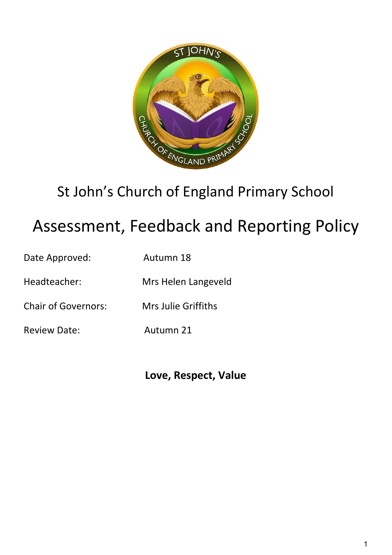

## St John's Church of England Primary School

# Assessment, Feedback and Reporting Policy

| Date Approved:             | Autumn 18           |
|----------------------------|---------------------|
| Headteacher:               | Mrs Helen Langeveld |
| <b>Chair of Governors:</b> | Mrs Julie Griffiths |

Review Date: Autumn 21

**Love, Respect, Value**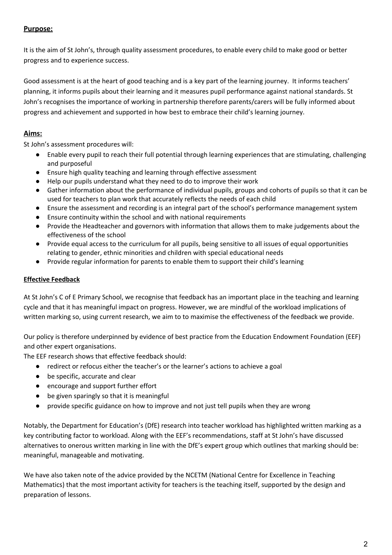## **Purpose:**

It is the aim of St John's, through quality assessment procedures, to enable every child to make good or better progress and to experience success.

Good assessment is at the heart of good teaching and is a key part of the learning journey. It informs teachers' planning, it informs pupils about their learning and it measures pupil performance against national standards. St John's recognises the importance of working in partnership therefore parents/carers will be fully informed about progress and achievement and supported in how best to embrace their child's learning journey.

## **Aims:**

St John's assessment procedures will:

- Enable every pupil to reach their full potential through learning experiences that are stimulating, challenging and purposeful
- Ensure high quality teaching and learning through effective assessment
- Help our pupils understand what they need to do to improve their work
- Gather information about the performance of individual pupils, groups and cohorts of pupils so that it can be used for teachers to plan work that accurately reflects the needs of each child
- Ensure the assessment and recording is an integral part of the school's performance management system
- Ensure continuity within the school and with national requirements
- Provide the Headteacher and governors with information that allows them to make judgements about the effectiveness of the school
- Provide equal access to the curriculum for all pupils, being sensitive to all issues of equal opportunities relating to gender, ethnic minorities and children with special educational needs
- Provide regular information for parents to enable them to support their child's learning

## **Effective Feedback**

At St John's C of E Primary School, we recognise that feedback has an important place in the teaching and learning cycle and that it has meaningful impact on progress. However, we are mindful of the workload implications of written marking so, using current research, we aim to to maximise the effectiveness of the feedback we provide.

Our policy is therefore underpinned by evidence of best practice from the Education Endowment Foundation (EEF) and other expert organisations.

The EEF research shows that effective feedback should:

- redirect or refocus either the teacher's or the learner's actions to achieve a goal
- be specific, accurate and clear
- encourage and support further effort
- be given sparingly so that it is meaningful
- provide specific guidance on how to improve and not just tell pupils when they are wrong

Notably, the Department for Education's (DfE) research into teacher workload has highlighted written marking as a key contributing factor to workload. Along with the EEF's recommendations, staff at St John's have discussed alternatives to onerous written marking in line with the DfE's expert group which outlines that marking should be: meaningful, manageable and motivating.

We have also taken note of the advice provided by the NCETM (National Centre for Excellence in Teaching Mathematics) that the most important activity for teachers is the teaching itself, supported by the design and preparation of lessons.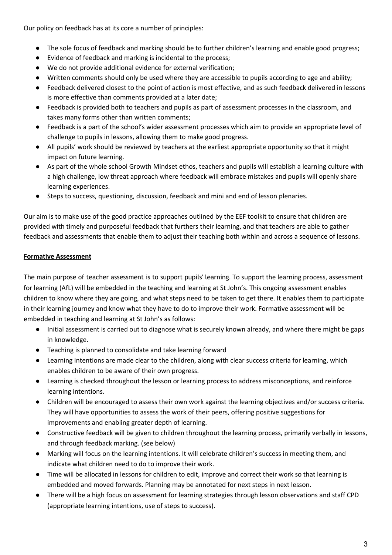Our policy on feedback has at its core a number of principles:

- The sole focus of feedback and marking should be to further children's learning and enable good progress;
- Evidence of feedback and marking is incidental to the process;
- We do not provide additional evidence for external verification;
- Written comments should only be used where they are accessible to pupils according to age and ability;
- Feedback delivered closest to the point of action is most effective, and as such feedback delivered in lessons is more effective than comments provided at a later date;
- Feedback is provided both to teachers and pupils as part of assessment processes in the classroom, and takes many forms other than written comments;
- Feedback is a part of the school's wider assessment processes which aim to provide an appropriate level of challenge to pupils in lessons, allowing them to make good progress.
- All pupils' work should be reviewed by teachers at the earliest appropriate opportunity so that it might impact on future learning.
- As part of the whole school Growth Mindset ethos, teachers and pupils will establish a learning culture with a high challenge, low threat approach where feedback will embrace mistakes and pupils will openly share learning experiences.
- Steps to success, questioning, discussion, feedback and mini and end of lesson plenaries.

Our aim is to make use of the good practice approaches outlined by the EEF toolkit to ensure that children are provided with timely and purposeful feedback that furthers their learning, and that teachers are able to gather feedback and assessments that enable them to adjust their teaching both within and across a sequence of lessons.

## **Formative Assessment**

The main purpose of teacher assessment is to support pupils' learning. To support the learning process, assessment for learning (AfL) will be embedded in the teaching and learning at St John's. This ongoing assessment enables children to know where they are going, and what steps need to be taken to get there. It enables them to participate in their learning journey and know what they have to do to improve their work. Formative assessment will be embedded in teaching and learning at St John's as follows:

- Initial assessment is carried out to diagnose what is securely known already, and where there might be gaps in knowledge.
- Teaching is planned to consolidate and take learning forward
- Learning intentions are made clear to the children, along with clear success criteria for learning, which enables children to be aware of their own progress.
- Learning is checked throughout the lesson or learning process to address misconceptions, and reinforce learning intentions.
- Children will be encouraged to assess their own work against the learning objectives and/or success criteria. They will have opportunities to assess the work of their peers, offering positive suggestions for improvements and enabling greater depth of learning.
- Constructive feedback will be given to children throughout the learning process, primarily verbally in lessons, and through feedback marking. (see below)
- Marking will focus on the learning intentions. It will celebrate children's success in meeting them, and indicate what children need to do to improve their work.
- Time will be allocated in lessons for children to edit, improve and correct their work so that learning is embedded and moved forwards. Planning may be annotated for next steps in next lesson.
- There will be a high focus on assessment for learning strategies through lesson observations and staff CPD (appropriate learning intentions, use of steps to success).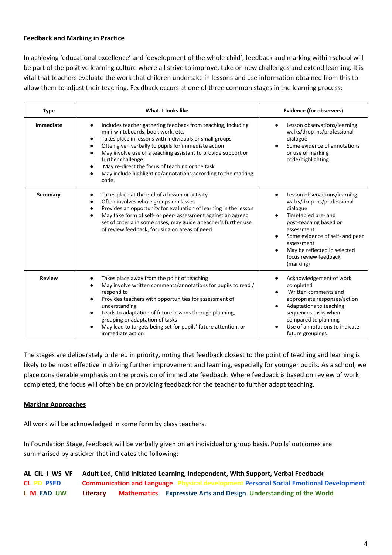#### **Feedback and Marking in Practice**

In achieving 'educational excellence' and 'development of the whole child', feedback and marking within school will be part of the positive learning culture where all strive to improve, take on new challenges and extend learning. It is vital that teachers evaluate the work that children undertake in lessons and use information obtained from this to allow them to adjust their teaching. Feedback occurs at one of three common stages in the learning process:

| <b>Type</b>   | What it looks like                                                                                                                                                                                                                                                                                                                                                                                                                                               | <b>Evidence (for observers)</b>                                                                                                                                                                                                                               |
|---------------|------------------------------------------------------------------------------------------------------------------------------------------------------------------------------------------------------------------------------------------------------------------------------------------------------------------------------------------------------------------------------------------------------------------------------------------------------------------|---------------------------------------------------------------------------------------------------------------------------------------------------------------------------------------------------------------------------------------------------------------|
| Immediate     | Includes teacher gathering feedback from teaching, including<br>$\bullet$<br>mini-whiteboards, book work, etc.<br>Takes place in lessons with individuals or small groups<br>$\bullet$<br>Often given verbally to pupils for immediate action<br>May involve use of a teaching assistant to provide support or<br>further challenge<br>May re-direct the focus of teaching or the task<br>May include highlighting/annotations according to the marking<br>code. | Lesson observations/learning<br>walks/drop ins/professional<br>dialogue<br>Some evidence of annotations<br>or use of marking<br>code/highlighting                                                                                                             |
| Summary       | Takes place at the end of a lesson or activity<br>Often involves whole groups or classes<br>Provides an opportunity for evaluation of learning in the lesson<br>May take form of self- or peer- assessment against an agreed<br>$\bullet$<br>set of criteria in some cases, may guide a teacher's further use<br>of review feedback, focusing on areas of need                                                                                                   | Lesson observations/learning<br>walks/drop ins/professional<br>dialogue<br>Timetabled pre- and<br>post-teaching based on<br>assessment<br>Some evidence of self- and peer<br>assessment<br>May be reflected in selected<br>focus review feedback<br>(marking) |
| <b>Review</b> | Takes place away from the point of teaching<br>May involve written comments/annotations for pupils to read /<br>respond to<br>Provides teachers with opportunities for assessment of<br>understanding<br>Leads to adaptation of future lessons through planning,<br>$\bullet$<br>grouping or adaptation of tasks<br>May lead to targets being set for pupils' future attention, or<br>immediate action                                                           | Acknowledgement of work<br>completed<br>Written comments and<br>appropriate responses/action<br>Adaptations to teaching<br>sequences tasks when<br>compared to planning<br>Use of annotations to indicate<br>future groupings                                 |

The stages are deliberately ordered in priority, noting that feedback closest to the point of teaching and learning is likely to be most effective in driving further improvement and learning, especially for younger pupils. As a school, we place considerable emphasis on the provision of immediate feedback. Where feedback is based on review of work completed, the focus will often be on providing feedback for the teacher to further adapt teaching.

#### **Marking Approaches**

All work will be acknowledged in some form by class teachers.

In Foundation Stage, feedback will be verbally given on an individual or group basis. Pupils' outcomes are summarised by a sticker that indicates the following:

| AL CIL I WS VF    | Adult Led, Child Initiated Learning, Independent, With Support, Verbal Feedback              |
|-------------------|----------------------------------------------------------------------------------------------|
| <b>CL PD PSED</b> | <b>Communication and Language</b> Physical development Personal Social Emotional Development |
| L M EAD UW        | Mathematics Expressive Arts and Design Understanding of the World<br>Literacy                |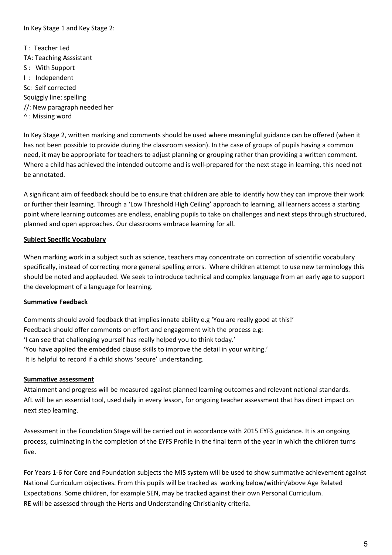In Key Stage 1 and Key Stage 2:

T : Teacher Led TA: Teaching Asssistant S : With Support I : Independent Sc: Self corrected Squiggly line: spelling //: New paragraph needed her ^ : Missing word

In Key Stage 2, written marking and comments should be used where meaningful guidance can be offered (when it has not been possible to provide during the classroom session). In the case of groups of pupils having a common need, it may be appropriate for teachers to adjust planning or grouping rather than providing a written comment. Where a child has achieved the intended outcome and is well-prepared for the next stage in learning, this need not be annotated.

A significant aim of feedback should be to ensure that children are able to identify how they can improve their work or further their learning. Through a 'Low Threshold High Ceiling' approach to learning, all learners access a starting point where learning outcomes are endless, enabling pupils to take on challenges and next steps through structured, planned and open approaches. Our classrooms embrace learning for all.

#### **Subject Specific Vocabulary**

When marking work in a subject such as science, teachers may concentrate on correction of scientific vocabulary specifically, instead of correcting more general spelling errors. Where children attempt to use new terminology this should be noted and applauded. We seek to introduce technical and complex language from an early age to support the development of a language for learning.

#### **Summative Feedback**

Comments should avoid feedback that implies innate ability e.g 'You are really good at this!' Feedback should offer comments on effort and engagement with the process e.g: 'I can see that challenging yourself has really helped you to think today.' 'You have applied the embedded clause skills to improve the detail in your writing.' It is helpful to record if a child shows 'secure' understanding.

#### **Summative assessment**

Attainment and progress will be measured against planned learning outcomes and relevant national standards. AfL will be an essential tool, used daily in every lesson, for ongoing teacher assessment that has direct impact on next step learning.

Assessment in the Foundation Stage will be carried out in accordance with 2015 EYFS guidance. It is an ongoing process, culminating in the completion of the EYFS Profile in the final term of the year in which the children turns five.

For Years 1-6 for Core and Foundation subjects the MIS system will be used to show summative achievement against National Curriculum objectives. From this pupils will be tracked as working below/within/above Age Related Expectations. Some children, for example SEN, may be tracked against their own Personal Curriculum. RE will be assessed through the Herts and Understanding Christianity criteria.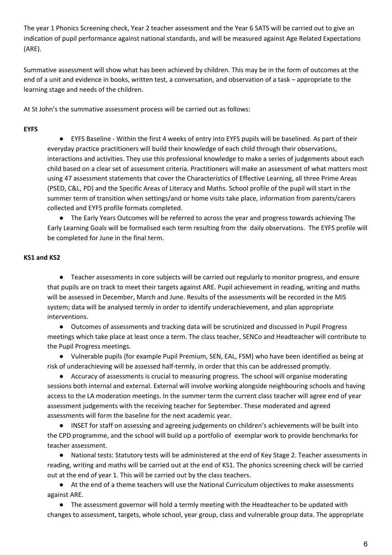The year 1 Phonics Screening check, Year 2 teacher assessment and the Year 6 SATS will be carried out to give an indication of pupil performance against national standards, and will be measured against Age Related Expectations (ARE).

Summative assessment will show what has been achieved by children. This may be in the form of outcomes at the end of a unit and evidence in books, written test, a conversation, and observation of a task – appropriate to the learning stage and needs of the children.

At St John's the summative assessment process will be carried out as follows:

#### **EYFS**

● EYFS Baseline - Within the first 4 weeks of entry into EYFS pupils will be baselined. As part of their everyday practice practitioners will build their knowledge of each child through their observations, interactions and activities. They use this professional knowledge to make a series of judgements about each child based on a clear set of assessment criteria. Practitioners will make an assessment of what matters most using 47 assessment statements that cover the Characteristics of Effective Learning, all three Prime Areas (PSED, C&L, PD) and the Specific Areas of Literacy and Maths. School profile of the pupil will start in the summer term of transition when settings/and or home visits take place, information from parents/carers collected and EYFS profile formats completed.

● The Early Years Outcomes will be referred to across the year and progress towards achieving The Early Learning Goals will be formalised each term resulting from the daily observations. The EYFS profile will be completed for June in the final term.

### **KS1 and KS2**

● Teacher assessments in core subjects will be carried out regularly to monitor progress, and ensure that pupils are on track to meet their targets against ARE. Pupil achievement in reading, writing and maths will be assessed in December, March and June. Results of the assessments will be recorded in the MIS system; data will be analysed termly in order to identify underachievement, and plan appropriate interventions.

● Outcomes of assessments and tracking data will be scrutinized and discussed in Pupil Progress meetings which take place at least once a term. The class teacher, SENCo and Headteacher will contribute to the Pupil Progress meetings.

● Vulnerable pupils (for example Pupil Premium, SEN, EAL, FSM) who have been identified as being at risk of underachieving will be assessed half-termly, in order that this can be addressed promptly.

● Accuracy of assessments is crucial to measuring progress. The school will organise moderating sessions both internal and external. External will involve working alongside neighbouring schools and having access to the LA moderation meetings. In the summer term the current class teacher will agree end of year assessment judgements with the receiving teacher for September. These moderated and agreed assessments will form the baseline for the next academic year.

● INSET for staff on assessing and agreeing judgements on children's achievements will be built into the CPD programme, and the school will build up a portfolio of exemplar work to provide benchmarks for teacher assessment.

● National tests: Statutory tests will be administered at the end of Key Stage 2. Teacher assessments in reading, writing and maths will be carried out at the end of KS1. The phonics screening check will be carried out at the end of year 1. This will be carried out by the class teachers.

● At the end of a theme teachers will use the National Curriculum objectives to make assessments against ARE.

● The assessment governor will hold a termly meeting with the Headteacher to be updated with changes to assessment, targets, whole school, year group, class and vulnerable group data. The appropriate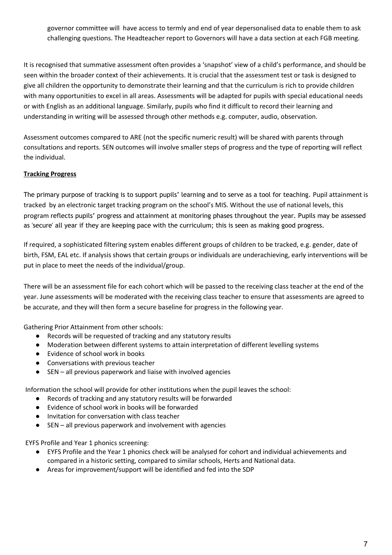governor committee will have access to termly and end of year depersonalised data to enable them to ask challenging questions. The Headteacher report to Governors will have a data section at each FGB meeting.

It is recognised that summative assessment often provides a 'snapshot' view of a child's performance, and should be seen within the broader context of their achievements. It is crucial that the assessment test or task is designed to give all children the opportunity to demonstrate their learning and that the curriculum is rich to provide children with many opportunities to excel in all areas. Assessments will be adapted for pupils with special educational needs or with English as an additional language. Similarly, pupils who find it difficult to record their learning and understanding in writing will be assessed through other methods e.g. computer, audio, observation.

Assessment outcomes compared to ARE (not the specific numeric result) will be shared with parents through consultations and reports. SEN outcomes will involve smaller steps of progress and the type of reporting will reflect the individual.

## **Tracking Progress**

The primary purpose of tracking is to support pupils' learning and to serve as a tool for teaching. Pupil attainment is tracked by an electronic target tracking program on the school's MIS. Without the use of national levels, this program reflects pupils' progress and attainment at monitoring phases throughout the year. Pupils may be assessed as 'secure' all year if they are keeping pace with the curriculum; this is seen as making good progress.

If required, a sophisticated filtering system enables different groups of children to be tracked, e.g. gender, date of birth, FSM, EAL etc. If analysis shows that certain groups or individuals are underachieving, early interventions will be put in place to meet the needs of the individual/group.

There will be an assessment file for each cohort which will be passed to the receiving class teacher at the end of the year. June assessments will be moderated with the receiving class teacher to ensure that assessments are agreed to be accurate, and they will then form a secure baseline for progress in the following year.

Gathering Prior Attainment from other schools:

- Records will be requested of tracking and any statutory results
- Moderation between different systems to attain interpretation of different levelling systems
- Evidence of school work in books
- Conversations with previous teacher
- SEN all previous paperwork and liaise with involved agencies

Information the school will provide for other institutions when the pupil leaves the school:

- Records of tracking and any statutory results will be forwarded
- Evidence of school work in books will be forwarded
- Invitation for conversation with class teacher
- SEN all previous paperwork and involvement with agencies

EYFS Profile and Year 1 phonics screening:

- EYFS Profile and the Year 1 phonics check will be analysed for cohort and individual achievements and compared in a historic setting, compared to similar schools, Herts and National data.
- Areas for improvement/support will be identified and fed into the SDP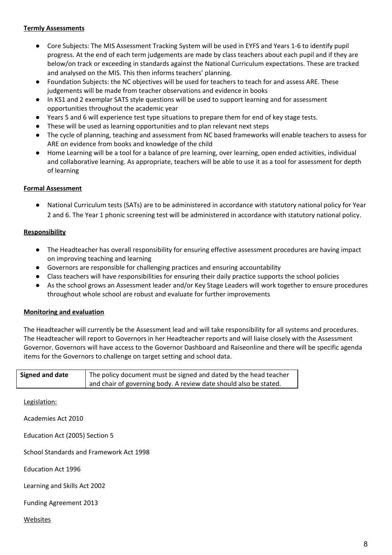#### **Termly Assessments**

- Core Subjects: The MIS Assessment Tracking System will be used in EYFS and Years 1-6 to identify pupil progress. At the end of each term judgements are made by class teachers about each pupil and if they are below/on track or exceeding in standards against the National Curriculum expectations. These are tracked and analysed on the MIS. This then informs teachers' planning.
- Foundation Subjects: the NC objectives will be used for teachers to teach for and assess ARE. These judgements will be made from teacher observations and evidence in books
- In KS1 and 2 exemplar SATS style questions will be used to support learning and for assessment opportunities throughout the academic year
- Years 5 and 6 will experience test type situations to prepare them for end of key stage tests.
- These will be used as learning opportunities and to plan relevant next steps
- The cycle of planning, teaching and assessment from NC based frameworks will enable teachers to assess for ARE on evidence from books and knowledge of the child
- Home Learning will be a tool for a balance of pre learning, over learning, open ended activities, individual and collaborative learning. As appropriate, teachers will be able to use it as a tool for assessment for depth of learning

#### **Formal Assessment**

● National Curriculum tests (SATs) are to be administered in accordance with statutory national policy for Year 2 and 6. The Year 1 phonic screening test will be administered in accordance with statutory national policy.

#### **Responsibility**

- The Headteacher has overall responsibility for ensuring effective assessment procedures are having impact on improving teaching and learning
- Governors are responsible for challenging practices and ensuring accountability
- Class teachers will have responsibilities for ensuring their daily practice supports the school policies
- As the school grows an Assessment leader and/or Key Stage Leaders will work together to ensure procedures throughout whole school are robust and evaluate for further improvements

#### **Monitoring and evaluation**

The Headteacher will currently be the Assessment lead and will take responsibility for all systems and procedures. The Headteacher will report to Governors in her Headteacher reports and will liaise closely with the Assessment Governor. Governors will have access to the Governor Dashboard and Raiseonline and there will be specific agenda items for the Governors to challenge on target setting and school data.

| Signed and date | The policy document must be signed and dated by the head teacher  |
|-----------------|-------------------------------------------------------------------|
|                 | and chair of governing body. A review date should also be stated. |

Legislation:

Academies Act 2010

Education Act (2005) Section 5

School Standards and Framework Act 1998

Education Act 1996

Learning and Skills Act 2002

Funding Agreement 2013

Websites